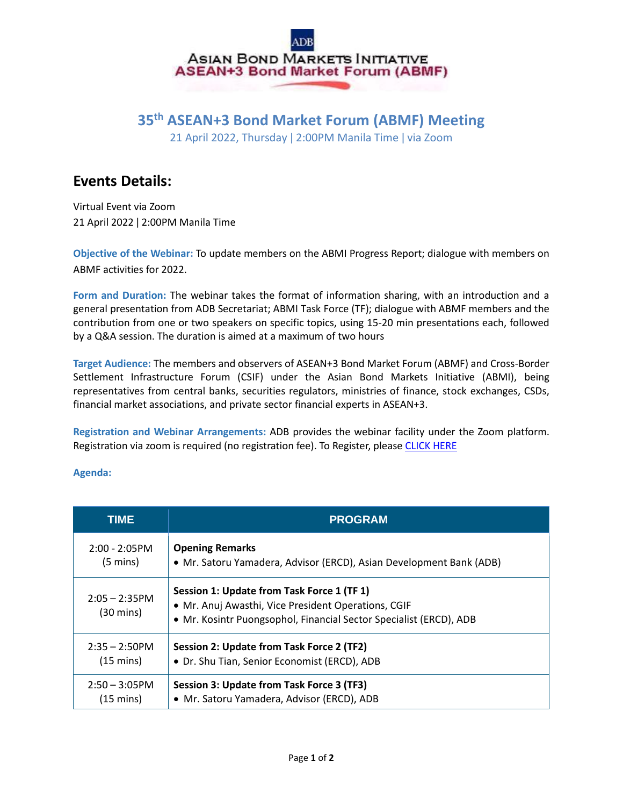## ASIAN BOND MARKETS INITIATIVE **ASEAN+3 Bond Market Forum (ABMF)**

#### **35th ASEAN+3 Bond Market Forum (ABMF) Meeting**

21 April 2022, Thursday ǀ 2:00PM Manila Time ǀ via Zoom

### **Events Details:**

Virtual Event via Zoom 21 April 2022 ǀ 2:00PM Manila Time

**Objective of the Webinar:** To update members on the ABMI Progress Report; dialogue with members on ABMF activities for 2022.

**Form and Duration:** The webinar takes the format of information sharing, with an introduction and a general presentation from ADB Secretariat; ABMI Task Force (TF); dialogue with ABMF members and the contribution from one or two speakers on specific topics, using 15-20 min presentations each, followed by a Q&A session. The duration is aimed at a maximum of two hours

**Target Audience:** The members and observers of ASEAN+3 Bond Market Forum (ABMF) and Cross-Border Settlement Infrastructure Forum (CSIF) under the Asian Bond Markets Initiative (ABMI), being representatives from central banks, securities regulators, ministries of finance, stock exchanges, CSDs, financial market associations, and private sector financial experts in ASEAN+3.

**Registration and Webinar Arrangements:** ADB provides the webinar facility under the Zoom platform. Registration via zoom is required (no registration fee). To Register, please [CLICK HERE](https://adb-org.zoom.us/webinar/register/WN_sbs9uBD-RoSJnlE0chnaNQ)

#### **Agenda:**

| TIME                          | <b>PROGRAM</b>                                                                                                                                                          |
|-------------------------------|-------------------------------------------------------------------------------------------------------------------------------------------------------------------------|
| $2:00 - 2:05$ PM              | <b>Opening Remarks</b>                                                                                                                                                  |
| $(5 \text{ mins})$            | • Mr. Satoru Yamadera, Advisor (ERCD), Asian Development Bank (ADB)                                                                                                     |
| $2:05 - 2:35$ PM<br>(30 mins) | Session 1: Update from Task Force 1 (TF 1)<br>· Mr. Anuj Awasthi, Vice President Operations, CGIF<br>• Mr. Kosintr Puongsophol, Financial Sector Specialist (ERCD), ADB |
| $2:35 - 2:50$ PM              | Session 2: Update from Task Force 2 (TF2)                                                                                                                               |
| $(15 \text{ mins})$           | • Dr. Shu Tian, Senior Economist (ERCD), ADB                                                                                                                            |
| $2:50 - 3:05$ PM              | Session 3: Update from Task Force 3 (TF3)                                                                                                                               |
| $(15 \text{ mins})$           | • Mr. Satoru Yamadera, Advisor (ERCD), ADB                                                                                                                              |